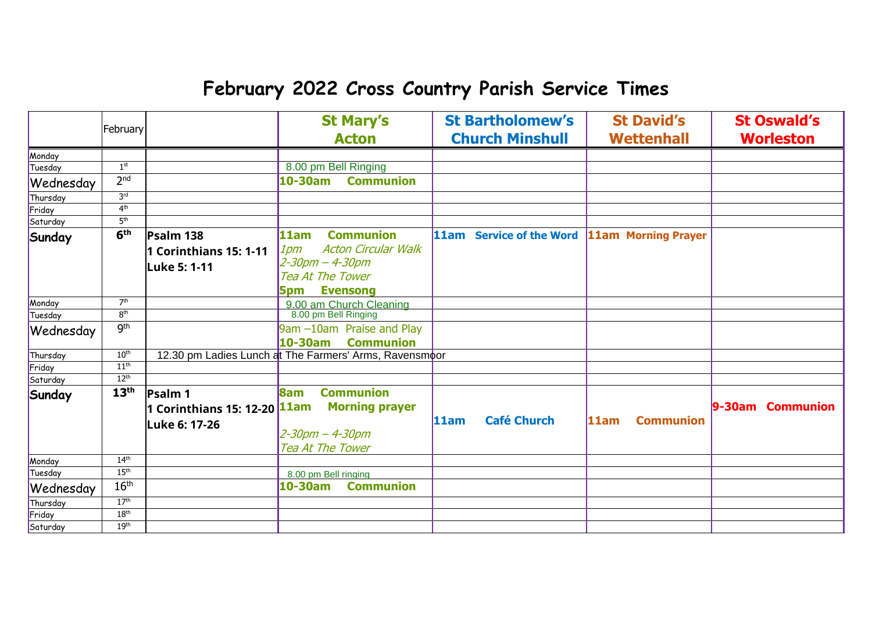## **February 2022 Cross Country Parish Service Times**

|           | February         |                                           | <b>St Mary's</b>                                       | <b>St Bartholomew's</b>                      | <b>St David's</b>        | <b>St Oswald's</b> |
|-----------|------------------|-------------------------------------------|--------------------------------------------------------|----------------------------------------------|--------------------------|--------------------|
|           |                  |                                           | <b>Acton</b>                                           | <b>Church Minshull</b>                       | <b>Wettenhall</b>        | <b>Worleston</b>   |
| Monday    |                  |                                           |                                                        |                                              |                          |                    |
| Tuesday   | 1 <sup>st</sup>  |                                           | 8.00 pm Bell Ringing                                   |                                              |                          |                    |
| Wednesday | 2 <sup>nd</sup>  |                                           | <b>Communion</b><br>10-30am                            |                                              |                          |                    |
| Thursday  | 3 <sup>rd</sup>  |                                           |                                                        |                                              |                          |                    |
| Friday    | 4 <sup>th</sup>  |                                           |                                                        |                                              |                          |                    |
| Saturday  | 5 <sup>th</sup>  |                                           |                                                        |                                              |                          |                    |
| Sunday    | 6 <sup>th</sup>  | Psalm 138                                 | <b>Communion</b><br>11am                               | 11am Service of the Word 11am Morning Prayer |                          |                    |
|           |                  | 1 Corinthians 15: 1-11                    | <b>Acton Circular Walk</b><br>$1$ pm                   |                                              |                          |                    |
|           |                  | <b>Luke 5: 1-11</b>                       | $2 - 30$ pm $- 4 - 30$ pm                              |                                              |                          |                    |
|           |                  |                                           | <b>Tea At The Tower</b>                                |                                              |                          |                    |
|           |                  |                                           | <b>Evensong</b><br>5pm                                 |                                              |                          |                    |
| Monday    | 7 <sup>th</sup>  |                                           | 9.00 am Church Cleaning                                |                                              |                          |                    |
| Tuesday   | 8 <sup>th</sup>  |                                           | 8.00 pm Bell Ringing                                   |                                              |                          |                    |
| Wednesday | gth              |                                           | 9am -10am Praise and Play                              |                                              |                          |                    |
|           |                  |                                           | 10-30am<br><b>Communion</b>                            |                                              |                          |                    |
| Thursday  | 10 <sup>th</sup> |                                           | 12.30 pm Ladies Lunch at The Farmers' Arms, Ravensmoor |                                              |                          |                    |
| Friday    | 11 <sup>th</sup> |                                           |                                                        |                                              |                          |                    |
| Saturday  | 12 <sup>th</sup> |                                           |                                                        |                                              |                          |                    |
| Sunday    | 13 <sup>th</sup> | <b>Psalm 1</b>                            | <b>Communion</b><br><b>8am</b>                         |                                              |                          |                    |
|           |                  | 1 Corinthians 15: 12-20 <mark>11am</mark> | <b>Morning prayer</b>                                  |                                              |                          | 9-30am Communion   |
|           |                  | Luke 6: 17-26                             |                                                        | <b>Café Church</b><br>11am                   | 11am<br><b>Communion</b> |                    |
|           |                  |                                           | $2 - 30$ pm $- 4 - 30$ pm                              |                                              |                          |                    |
|           |                  |                                           | Tea At The Tower                                       |                                              |                          |                    |
| Monday    | 14 <sup>th</sup> |                                           |                                                        |                                              |                          |                    |
| Tuesday   | 15 <sup>th</sup> |                                           | 8.00 pm Bell ringing                                   |                                              |                          |                    |
| Wednesday | 16 <sup>th</sup> |                                           | <b>Communion</b><br>10-30am                            |                                              |                          |                    |
| Thursday  | 17 <sup>th</sup> |                                           |                                                        |                                              |                          |                    |
| Friday    | 18 <sup>th</sup> |                                           |                                                        |                                              |                          |                    |
| Saturday  | 19 <sup>th</sup> |                                           |                                                        |                                              |                          |                    |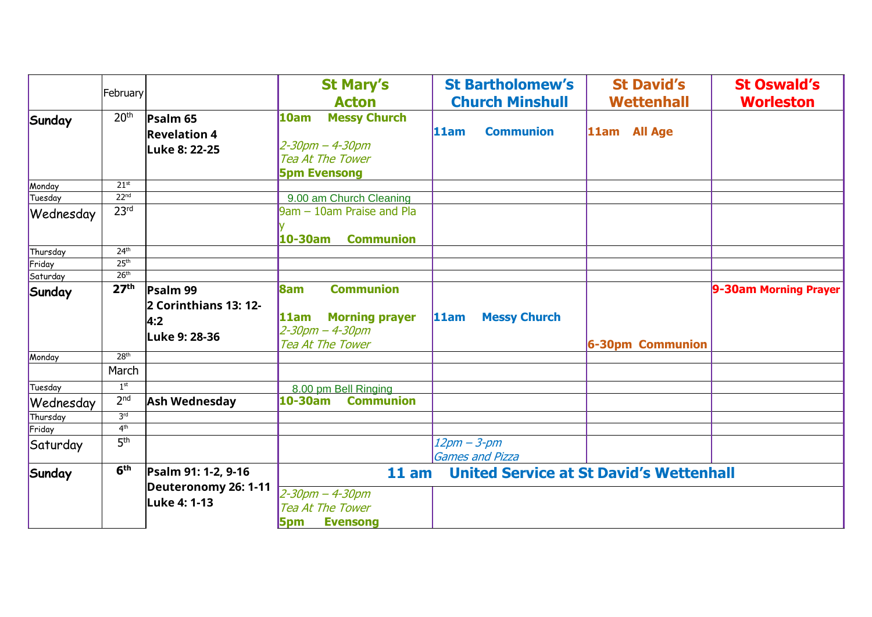|           | February         |                                                             | <b>St Mary's</b><br><b>Acton</b>                                                                          | <b>St Bartholomew's</b><br><b>Church Minshull</b> | <b>St David's</b><br><b>Wettenhall</b> | <b>St Oswald's</b><br><b>Worleston</b> |
|-----------|------------------|-------------------------------------------------------------|-----------------------------------------------------------------------------------------------------------|---------------------------------------------------|----------------------------------------|----------------------------------------|
| Sunday    | 20 <sup>th</sup> | Psalm <sub>65</sub><br><b>Revelation 4</b><br>Luke 8: 22-25 | <b>Messy Church</b><br>10am<br>$2 - 30$ pm $- 4 - 30$ pm<br>Tea At The Tower<br><b>5pm Evensong</b>       | <b>Communion</b><br>11am                          | 11am All Age                           |                                        |
| Monday    | $21^{st}$        |                                                             |                                                                                                           |                                                   |                                        |                                        |
| Tuesday   | 22 <sup>nd</sup> |                                                             | 9.00 am Church Cleaning                                                                                   |                                                   |                                        |                                        |
| Wednesday | 23 <sup>rd</sup> |                                                             | 9am - 10am Praise and Pla<br><b>Communion</b><br>10-30am                                                  |                                                   |                                        |                                        |
| Thursday  | 24 <sup>th</sup> |                                                             |                                                                                                           |                                                   |                                        |                                        |
| Friday    | 25 <sup>th</sup> |                                                             |                                                                                                           |                                                   |                                        |                                        |
| Saturday  | 26 <sup>th</sup> |                                                             |                                                                                                           |                                                   |                                        |                                        |
| Sunday    | 27 <sup>th</sup> | Psalm 99<br>2 Corinthians 13: 12-<br>4:2<br>Luke 9: 28-36   | 8am<br><b>Communion</b><br><b>Morning prayer</b><br>11am<br>$2 - 30$ pm $- 4 - 30$ pm<br>Tea At The Tower | <b>Messy Church</b><br>11am                       | <b>6-30pm Communion</b>                | 9-30am Morning Prayer                  |
| Monday    | 28 <sup>th</sup> |                                                             |                                                                                                           |                                                   |                                        |                                        |
|           | March            |                                                             |                                                                                                           |                                                   |                                        |                                        |
| Tuesday   | 1 <sup>st</sup>  |                                                             | 8.00 pm Bell Ringing                                                                                      |                                                   |                                        |                                        |
| Wednesday | 2 <sub>nd</sub>  | <b>Ash Wednesday</b>                                        | <b>Communion</b><br>10-30am                                                                               |                                                   |                                        |                                        |
| Thursday  | 3 <sup>rd</sup>  |                                                             |                                                                                                           |                                                   |                                        |                                        |
| Friday    | 4 <sup>th</sup>  |                                                             |                                                                                                           |                                                   |                                        |                                        |
| Saturday  | 5 <sup>th</sup>  |                                                             |                                                                                                           | $12pm - 3-pm$<br><b>Games and Pizza</b>           |                                        |                                        |
| Sunday    | 6 <sup>th</sup>  | Psalm 91: 1-2, 9-16<br>Deuteronomy 26: 1-11<br>Luke 4: 1-13 | 11 am<br>$2 - 30$ pm $- 4 - 30$ pm<br>Tea At The Tower<br><b>Evensong</b><br>5pm                          | <b>United Service at St David's Wettenhall</b>    |                                        |                                        |